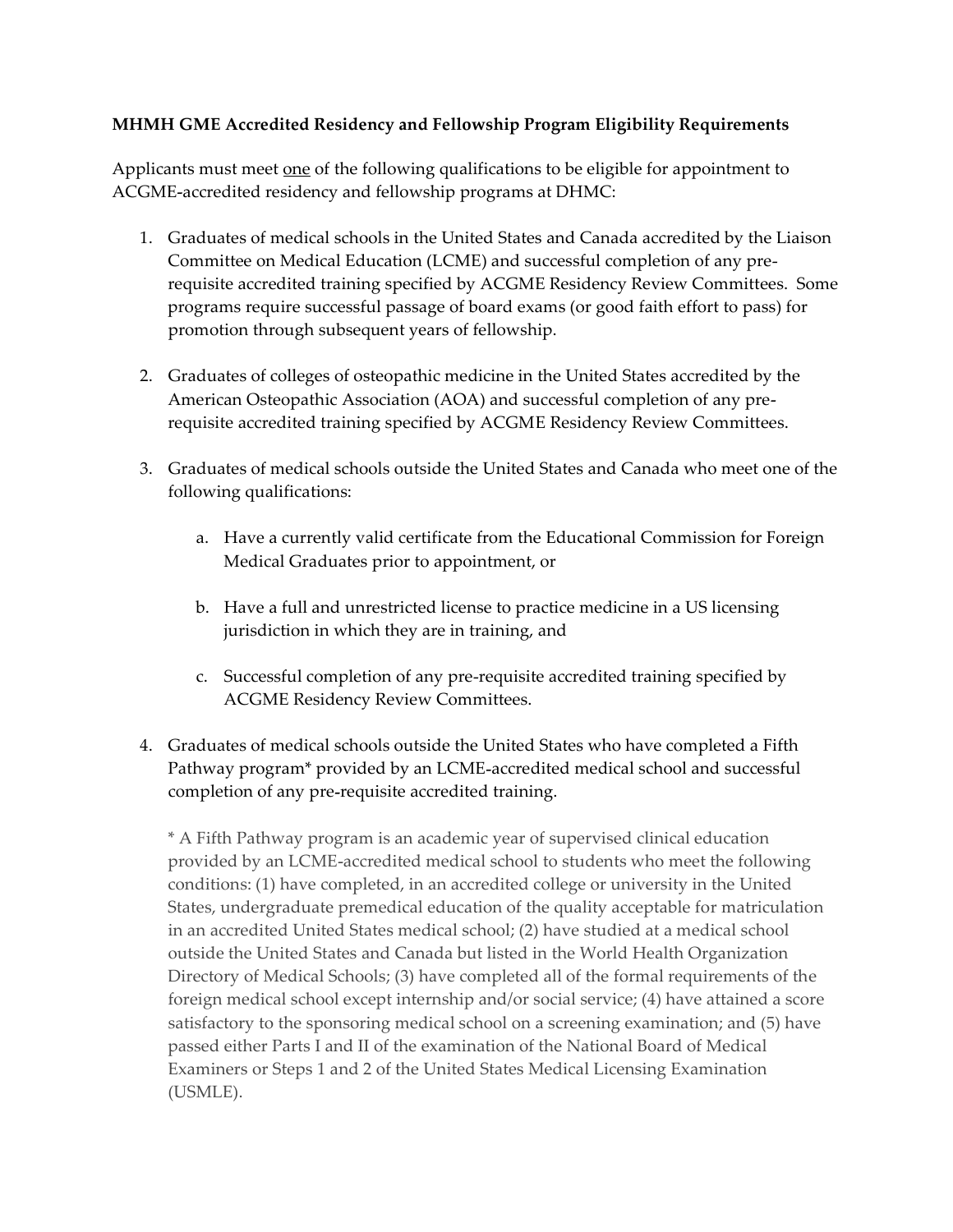## MHMH GME Accredited Residency and Fellowship Program Eligibility Requirements

Applicants must meet <u>one</u> of the following qualifications to be eligible for appointment to ACGME accredited residency and fellowship programs at DHMC:

- 1. Graduates of medical schools in the United States and Canada accredited by the Liaison Committee on Medical Education (LCME) and successful completion of any pre requisite accredited training specified by ACGME Residency Review Committees. Some programs require successful passage of board exams (or good faith effort to pass) for promotion through subsequent years of fellowship.
- 2. Graduates of colleges of osteopathic medicine in the United States accredited by the American Osteopathic Association (AOA) and successful completion of any pre requisite accredited training specified by ACGME Residency Review Committees.
- 3. Graduates of medical schools outside the United States and Canada who meet one of the following qualifications:
	- a. Have a currently valid certificate from the Educational Commission for Foreign Medical Graduates prior to appointment, or
	- b. Have a full and unrestricted license to practice medicine in a US licensing jurisdiction in which they are in training, and
	- c. Successful completion of any pre requisite accredited training specified by ACGME Residency Review Committees.
- 4. Graduates of medical schools outside the United States who have completed a Fifth Pathway program\* provided by an LCME accredited medical school and successful completion of any pre requisite accredited training.

\* A Fifth Pathway program is an academic year of supervised clinical education provided by an LCME accredited medical school to students who meet the following conditions: (1) have completed, in an accredited college or university in the United States, undergraduate premedical education of the quality acceptable for matriculation in an accredited United States medical school; (2) have studied at a medical school outside the United States and Canada but listed in the World Health Organization Directory of Medical Schools; (3) have completed all of the formal requirements of the foreign medical school except internship and/or social service; (4) have attained a score satisfactory to the sponsoring medical school on a screening examination; and (5) have passed either Parts I and II of the examination of the National Board of Medical Examiners or Steps 1 and 2 of the United States Medical Licensing Examination (USMLE).